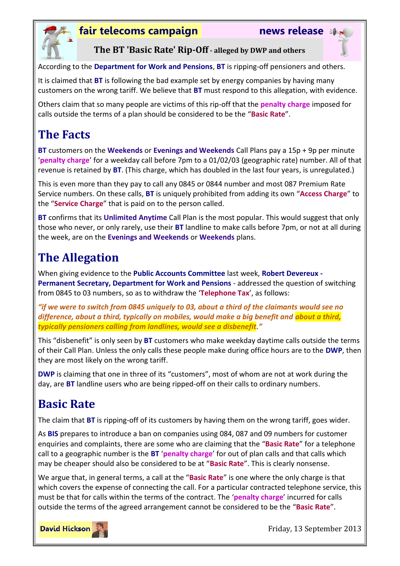

#### **fair telecoms campaign news release**



**The BT 'Basic Rate' Rip-Off - alleged by DWP and others**

According to the **Department for Work and Pensions**, **BT** is ripping-off pensioners and others.

It is claimed that **BT** is following the bad example set by energy companies by having many customers on the wrong tariff. We believe that **BT** must respond to this allegation, with evidence.

Others claim that so many people are victims of this rip-off that the **penalty charge** imposed for calls outside the terms of a plan should be considered to be the "**Basic Rate**".

## **The Facts**

**BT** customers on the **Weekends** or **Evenings and Weekends** Call Plans pay a 15p + 9p per minute '**penalty charge**' for a weekday call before 7pm to a 01/02/03 (geographic rate) number. All of that revenue is retained by **BT**. (This charge, which has doubled in the last four years, is unregulated.)

This is even more than they pay to call any 0845 or 0844 number and most 087 Premium Rate Service numbers. On these calls, **BT** is uniquely prohibited from adding its own "**Access Charge**" to the "**Service Charge**" that is paid on to the person called.

**BT** confirms that its **Unlimited Anytime** Call Plan is the most popular. This would suggest that only those who never, or only rarely, use their **BT** landline to make calls before 7pm, or not at all during the week, are on the **Evenings and Weekends** or **Weekends** plans.

# **The Allegation**

When giving evidence to the **Public Accounts Committee** last week, **Robert Devereux - Permanent Secretary, Department for Work and Pensions** - addressed the question of switching from 0845 to 03 numbers, so as to withdraw the '**Telephone Tax**', as follows:

*"if we were to switch from 0845 uniquely to 03, about a third of the claimants would see no difference, about a third, typically on mobiles, would make a big benefit and about a third, typically pensioners calling from landlines, would see a disbenefit."*

This "disbenefit" is only seen by **BT** customers who make weekday daytime calls outside the terms of their Call Plan. Unless the only calls these people make during office hours are to the **DWP**, then they are most likely on the wrong tariff.

**DWP** is claiming that one in three of its "customers", most of whom are not at work during the day, are **BT** landline users who are being ripped-off on their calls to ordinary numbers.

## **Basic Rate**

The claim that **BT** is ripping-off of its customers by having them on the wrong tariff, goes wider.

As **BIS** prepares to introduce a ban on companies using 084, 087 and 09 numbers for customer enquiries and complaints, there are some who are claiming that the "**Basic Rate**" for a telephone call to a geographic number is the **BT** '**penalty charge**' for out of plan calls and that calls which may be cheaper should also be considered to be at "**Basic Rate**". This is clearly nonsense.

We argue that, in general terms, a call at the "**Basic Rate**" is one where the only charge is that which covers the expense of connecting the call. For a particular contracted telephone service, this must be that for calls within the terms of the contract. The '**penalty charge**' incurred for calls outside the terms of the agreed arrangement cannot be considered to be the "**Basic Rate**".



Friday, 13 September 2013